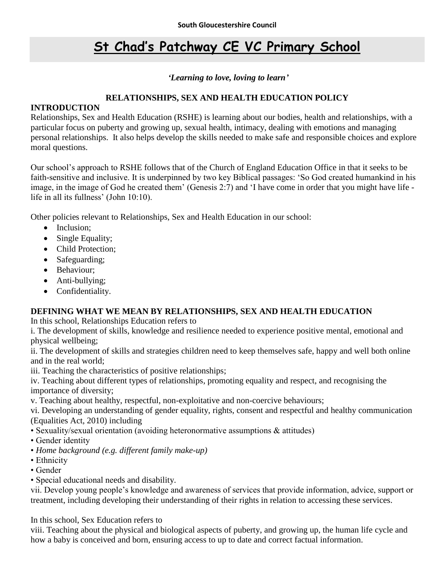# **St Chad's Patchway CE VC Primary School**

### *'Learning to love, loving to learn'*

### **RELATIONSHIPS, SEX AND HEALTH EDUCATION POLICY**

### **INTRODUCTION**

Relationships, Sex and Health Education (RSHE) is learning about our bodies, health and relationships, with a particular focus on puberty and growing up, sexual health, intimacy, dealing with emotions and managing personal relationships. It also helps develop the skills needed to make safe and responsible choices and explore moral questions.

Our school's approach to RSHE follows that of the Church of England Education Office in that it seeks to be faith-sensitive and inclusive. It is underpinned by two key Biblical passages: 'So God created humankind in his image, in the image of God he created them' (Genesis 2:7) and 'I have come in order that you might have life life in all its fullness' (John 10:10).

Other policies relevant to Relationships, Sex and Health Education in our school:

- Inclusion;
- Single Equality;
- Child Protection:
- Safeguarding;
- Behaviour:
- Anti-bullying;
- Confidentiality.

## **DEFINING WHAT WE MEAN BY RELATIONSHIPS, SEX AND HEALTH EDUCATION**

In this school, Relationships Education refers to

i. The development of skills, knowledge and resilience needed to experience positive mental, emotional and physical wellbeing;

ii. The development of skills and strategies children need to keep themselves safe, happy and well both online and in the real world;

iii. Teaching the characteristics of positive relationships;

iv. Teaching about different types of relationships, promoting equality and respect, and recognising the importance of diversity;

v. Teaching about healthy, respectful, non-exploitative and non-coercive behaviours;

vi. Developing an understanding of gender equality, rights, consent and respectful and healthy communication (Equalities Act, 2010) including

- Sexuality/sexual orientation (avoiding heteronormative assumptions & attitudes)
- Gender identity
- *Home background (e.g. different family make-up)*
- Ethnicity
- Gender
- Special educational needs and disability.

vii. Develop young people's knowledge and awareness of services that provide information, advice, support or treatment, including developing their understanding of their rights in relation to accessing these services.

In this school, Sex Education refers to

viii. Teaching about the physical and biological aspects of puberty, and growing up, the human life cycle and how a baby is conceived and born, ensuring access to up to date and correct factual information.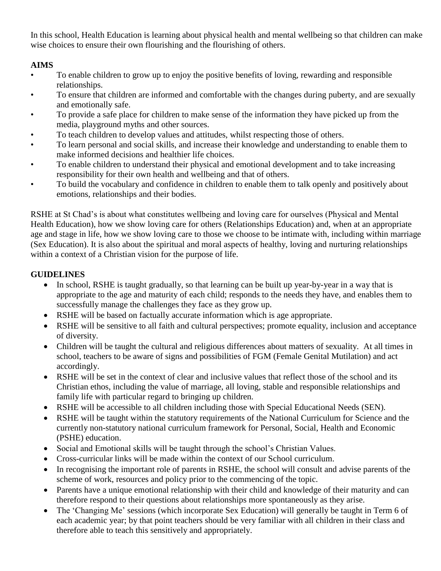In this school, Health Education is learning about physical health and mental wellbeing so that children can make wise choices to ensure their own flourishing and the flourishing of others.

# **AIMS**

- To enable children to grow up to enjoy the positive benefits of loving, rewarding and responsible relationships.
- To ensure that children are informed and comfortable with the changes during puberty, and are sexually and emotionally safe.
- To provide a safe place for children to make sense of the information they have picked up from the media, playground myths and other sources.
- To teach children to develop values and attitudes, whilst respecting those of others.
- To learn personal and social skills, and increase their knowledge and understanding to enable them to make informed decisions and healthier life choices.
- To enable children to understand their physical and emotional development and to take increasing responsibility for their own health and wellbeing and that of others.
- To build the vocabulary and confidence in children to enable them to talk openly and positively about emotions, relationships and their bodies.

RSHE at St Chad's is about what constitutes wellbeing and loving care for ourselves (Physical and Mental Health Education), how we show loving care for others (Relationships Education) and, when at an appropriate age and stage in life, how we show loving care to those we choose to be intimate with, including within marriage (Sex Education). It is also about the spiritual and moral aspects of healthy, loving and nurturing relationships within a context of a Christian vision for the purpose of life.

# **GUIDELINES**

- In school, RSHE is taught gradually, so that learning can be built up year-by-year in a way that is appropriate to the age and maturity of each child; responds to the needs they have, and enables them to successfully manage the challenges they face as they grow up.
- RSHE will be based on factually accurate information which is age appropriate.
- RSHE will be sensitive to all faith and cultural perspectives; promote equality, inclusion and acceptance of diversity.
- Children will be taught the cultural and religious differences about matters of sexuality. At all times in school, teachers to be aware of signs and possibilities of FGM (Female Genital Mutilation) and act accordingly.
- RSHE will be set in the context of clear and inclusive values that reflect those of the school and its Christian ethos, including the value of marriage, all loving, stable and responsible relationships and family life with particular regard to bringing up children.
- RSHE will be accessible to all children including those with Special Educational Needs (SEN).
- RSHE will be taught within the statutory requirements of the National Curriculum for Science and the currently non-statutory national curriculum framework for Personal, Social, Health and Economic (PSHE) education.
- Social and Emotional skills will be taught through the school's Christian Values.
- Cross-curricular links will be made within the context of our School curriculum.
- In recognising the important role of parents in RSHE, the school will consult and advise parents of the scheme of work, resources and policy prior to the commencing of the topic.
- Parents have a unique emotional relationship with their child and knowledge of their maturity and can therefore respond to their questions about relationships more spontaneously as they arise.
- The 'Changing Me' sessions (which incorporate Sex Education) will generally be taught in Term 6 of each academic year; by that point teachers should be very familiar with all children in their class and therefore able to teach this sensitively and appropriately.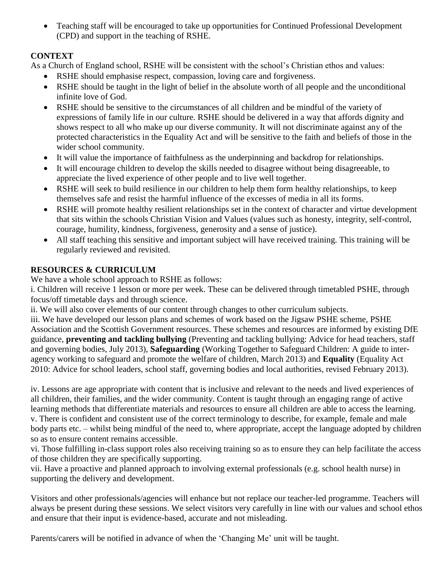• Teaching staff will be encouraged to take up opportunities for Continued Professional Development (CPD) and support in the teaching of RSHE.

# **CONTEXT**

As a Church of England school, RSHE will be consistent with the school's Christian ethos and values:

- RSHE should emphasise respect, compassion, loving care and forgiveness.
- RSHE should be taught in the light of belief in the absolute worth of all people and the unconditional infinite love of God.
- RSHE should be sensitive to the circumstances of all children and be mindful of the variety of expressions of family life in our culture. RSHE should be delivered in a way that affords dignity and shows respect to all who make up our diverse community. It will not discriminate against any of the protected characteristics in the Equality Act and will be sensitive to the faith and beliefs of those in the wider school community.
- It will value the importance of faithfulness as the underpinning and backdrop for relationships.
- It will encourage children to develop the skills needed to disagree without being disagreeable, to appreciate the lived experience of other people and to live well together.
- RSHE will seek to build resilience in our children to help them form healthy relationships, to keep themselves safe and resist the harmful influence of the excesses of media in all its forms.
- RSHE will promote healthy resilient relationships set in the context of character and virtue development that sits within the schools Christian Vision and Values (values such as honesty, integrity, self-control, courage, humility, kindness, forgiveness, generosity and a sense of justice).
- All staff teaching this sensitive and important subject will have received training. This training will be regularly reviewed and revisited.

# **RESOURCES & CURRICULUM**

We have a whole school approach to RSHE as follows:

i. Children will receive 1 lesson or more per week. These can be delivered through timetabled PSHE, through focus/off timetable days and through science.

ii. We will also cover elements of our content through changes to other curriculum subjects.

iii. We have developed our lesson plans and schemes of work based on the Jigsaw PSHE scheme, PSHE Association and the Scottish Government resources. These schemes and resources are informed by existing DfE guidance, **preventing and tackling bullying** (Preventing and tackling bullying: Advice for head teachers, staff and governing bodies, July 2013), **Safeguarding** (Working Together to Safeguard Children: A guide to interagency working to safeguard and promote the welfare of children, March 2013) and **Equality** (Equality Act 2010: Advice for school leaders, school staff, governing bodies and local authorities, revised February 2013).

iv. Lessons are age appropriate with content that is inclusive and relevant to the needs and lived experiences of all children, their families, and the wider community. Content is taught through an engaging range of active learning methods that differentiate materials and resources to ensure all children are able to access the learning. v. There is confident and consistent use of the correct terminology to describe, for example, female and male body parts etc. – whilst being mindful of the need to, where appropriate, accept the language adopted by children so as to ensure content remains accessible.

vi. Those fulfilling in-class support roles also receiving training so as to ensure they can help facilitate the access of those children they are specifically supporting.

vii. Have a proactive and planned approach to involving external professionals (e.g. school health nurse) in supporting the delivery and development.

Visitors and other professionals/agencies will enhance but not replace our teacher-led programme. Teachers will always be present during these sessions. We select visitors very carefully in line with our values and school ethos and ensure that their input is evidence-based, accurate and not misleading.

Parents/carers will be notified in advance of when the 'Changing Me' unit will be taught.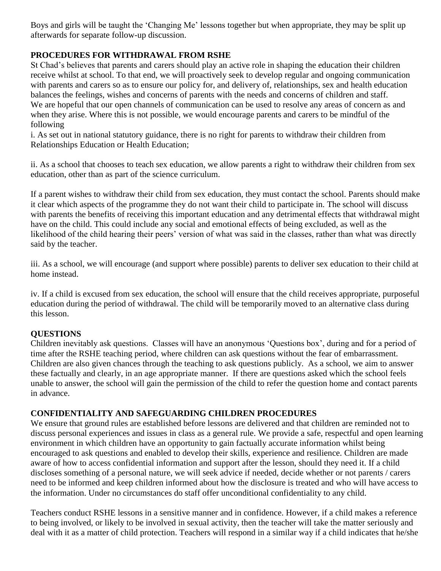Boys and girls will be taught the 'Changing Me' lessons together but when appropriate, they may be split up afterwards for separate follow-up discussion.

# **PROCEDURES FOR WITHDRAWAL FROM RSHE**

St Chad's believes that parents and carers should play an active role in shaping the education their children receive whilst at school. To that end, we will proactively seek to develop regular and ongoing communication with parents and carers so as to ensure our policy for, and delivery of, relationships, sex and health education balances the feelings, wishes and concerns of parents with the needs and concerns of children and staff. We are hopeful that our open channels of communication can be used to resolve any areas of concern as and when they arise. Where this is not possible, we would encourage parents and carers to be mindful of the following

i. As set out in national statutory guidance, there is no right for parents to withdraw their children from Relationships Education or Health Education;

ii. As a school that chooses to teach sex education, we allow parents a right to withdraw their children from sex education, other than as part of the science curriculum.

If a parent wishes to withdraw their child from sex education, they must contact the school. Parents should make it clear which aspects of the programme they do not want their child to participate in. The school will discuss with parents the benefits of receiving this important education and any detrimental effects that withdrawal might have on the child. This could include any social and emotional effects of being excluded, as well as the likelihood of the child hearing their peers' version of what was said in the classes, rather than what was directly said by the teacher.

iii. As a school, we will encourage (and support where possible) parents to deliver sex education to their child at home instead.

iv. If a child is excused from sex education, the school will ensure that the child receives appropriate, purposeful education during the period of withdrawal. The child will be temporarily moved to an alternative class during this lesson.

## **QUESTIONS**

Children inevitably ask questions. Classes will have an anonymous 'Questions box', during and for a period of time after the RSHE teaching period, where children can ask questions without the fear of embarrassment. Children are also given chances through the teaching to ask questions publicly. As a school, we aim to answer these factually and clearly, in an age appropriate manner. If there are questions asked which the school feels unable to answer, the school will gain the permission of the child to refer the question home and contact parents in advance.

## **CONFIDENTIALITY AND SAFEGUARDING CHILDREN PROCEDURES**

We ensure that ground rules are established before lessons are delivered and that children are reminded not to discuss personal experiences and issues in class as a general rule. We provide a safe, respectful and open learning environment in which children have an opportunity to gain factually accurate information whilst being encouraged to ask questions and enabled to develop their skills, experience and resilience. Children are made aware of how to access confidential information and support after the lesson, should they need it. If a child discloses something of a personal nature, we will seek advice if needed, decide whether or not parents / carers need to be informed and keep children informed about how the disclosure is treated and who will have access to the information. Under no circumstances do staff offer unconditional confidentiality to any child.

Teachers conduct RSHE lessons in a sensitive manner and in confidence. However, if a child makes a reference to being involved, or likely to be involved in sexual activity, then the teacher will take the matter seriously and deal with it as a matter of child protection. Teachers will respond in a similar way if a child indicates that he/she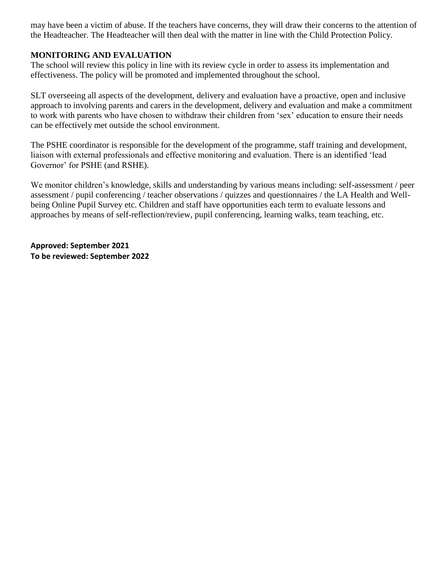may have been a victim of abuse. If the teachers have concerns, they will draw their concerns to the attention of the Headteacher. The Headteacher will then deal with the matter in line with the Child Protection Policy.

### **MONITORING AND EVALUATION**

The school will review this policy in line with its review cycle in order to assess its implementation and effectiveness. The policy will be promoted and implemented throughout the school.

SLT overseeing all aspects of the development, delivery and evaluation have a proactive, open and inclusive approach to involving parents and carers in the development, delivery and evaluation and make a commitment to work with parents who have chosen to withdraw their children from 'sex' education to ensure their needs can be effectively met outside the school environment.

The PSHE coordinator is responsible for the development of the programme, staff training and development, liaison with external professionals and effective monitoring and evaluation. There is an identified 'lead Governor' for PSHE (and RSHE).

We monitor children's knowledge, skills and understanding by various means including: self-assessment / peer assessment / pupil conferencing / teacher observations / quizzes and questionnaires / the LA Health and Wellbeing Online Pupil Survey etc. Children and staff have opportunities each term to evaluate lessons and approaches by means of self-reflection/review, pupil conferencing, learning walks, team teaching, etc.

**Approved: September 2021 To be reviewed: September 2022**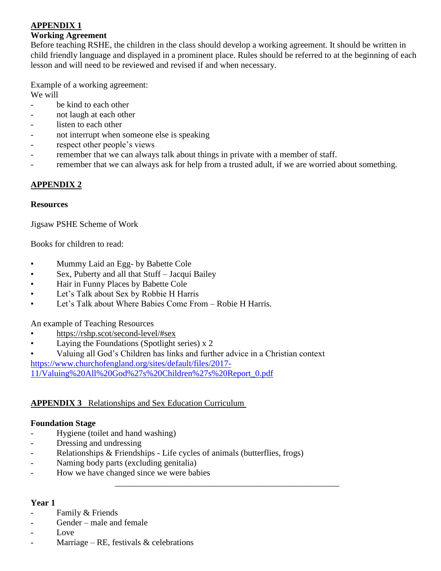# **APPENDIX 1**

#### **Working Agreement**

Before teaching RSHE, the children in the class should develop a working agreement. It should be written in child friendly language and displayed in a prominent place. Rules should be referred to at the beginning of each lesson and will need to be reviewed and revised if and when necessary.

Example of a working agreement: We will

- be kind to each other
- not laugh at each other
- listen to each other
- not interrupt when someone else is speaking
- respect other people's views
- remember that we can always talk about things in private with a member of staff.
- remember that we can always ask for help from a trusted adult, if we are worried about something.

## **APPENDIX 2**

### **Resources**

Jigsaw PSHE Scheme of Work

Books for children to read:

- Mummy Laid an Egg- by Babette Cole
- Sex, Puberty and all that Stuff Jacqui Bailey
- Hair in Funny Places by Babette Cole
- Let's Talk about Sex by Robbie H Harris
- Let's Talk about Where Babies Come From Robie H Harris.

An example of Teaching Resources

- <https://rshp.scot/second-level/#sex>
- Laying the Foundations (Spotlight series)  $x$  2
- Valuing all God's Children has links and further advice in a Christian context

[https://www.churchofengland.org/sites/default/files/2017-](https://www.churchofengland.org/sites/default/files/2017-11/Valuing%20All%20God%27s%20Children%27s%20Report_0.pdf)

[11/Valuing%20All%20God%27s%20Children%27s%20Report\\_0.pdf](https://www.churchofengland.org/sites/default/files/2017-11/Valuing%20All%20God%27s%20Children%27s%20Report_0.pdf)

## **APPENDIX 3** Relationships and Sex Education Curriculum

### **Foundation Stage**

- Hygiene (toilet and hand washing)
- Dressing and undressing
- Relationships & Friendships Life cycles of animals (butterflies, frogs)

\_\_\_\_\_\_\_\_\_\_\_\_\_\_\_\_\_\_\_\_\_\_\_\_\_\_\_\_\_\_\_\_\_\_\_\_\_\_\_\_\_\_\_\_\_\_\_\_\_\_\_\_

- Naming body parts (excluding genitalia)
- How we have changed since we were babies

### **Year 1**

- Family & Friends
- Gender male and female
- Love
- Marriage RE, festivals  $\&$  celebrations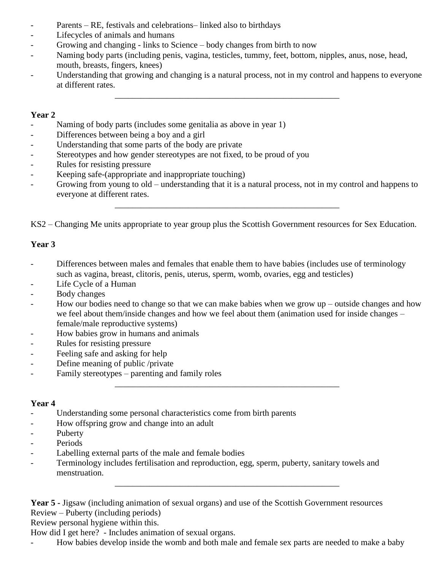- Parents RE, festivals and celebrations– linked also to birthdays
- Lifecycles of animals and humans
- Growing and changing links to Science body changes from birth to now
- Naming body parts (including penis, vagina, testicles, tummy, feet, bottom, nipples, anus, nose, head, mouth, breasts, fingers, knees)
- Understanding that growing and changing is a natural process, not in my control and happens to everyone at different rates.

\_\_\_\_\_\_\_\_\_\_\_\_\_\_\_\_\_\_\_\_\_\_\_\_\_\_\_\_\_\_\_\_\_\_\_\_\_\_\_\_\_\_\_\_\_\_\_\_\_\_\_\_

### **Year 2**

- Naming of body parts (includes some genitalia as above in year 1)
- Differences between being a boy and a girl
- Understanding that some parts of the body are private
- Stereotypes and how gender stereotypes are not fixed, to be proud of you
- Rules for resisting pressure
- Keeping safe-(appropriate and inappropriate touching)
- Growing from young to old understanding that it is a natural process, not in my control and happens to everyone at different rates.

\_\_\_\_\_\_\_\_\_\_\_\_\_\_\_\_\_\_\_\_\_\_\_\_\_\_\_\_\_\_\_\_\_\_\_\_\_\_\_\_\_\_\_\_\_\_\_\_\_\_\_\_

KS2 – Changing Me units appropriate to year group plus the Scottish Government resources for Sex Education.

### **Year 3**

- Differences between males and females that enable them to have babies (includes use of terminology such as vagina, breast, clitoris, penis, uterus, sperm, womb, ovaries, egg and testicles)
- Life Cycle of a Human
- Body changes
- How our bodies need to change so that we can make babies when we grow  $up$  outside changes and how we feel about them/inside changes and how we feel about them (animation used for inside changes – female/male reproductive systems)

\_\_\_\_\_\_\_\_\_\_\_\_\_\_\_\_\_\_\_\_\_\_\_\_\_\_\_\_\_\_\_\_\_\_\_\_\_\_\_\_\_\_\_\_\_\_\_\_\_\_\_\_

\_\_\_\_\_\_\_\_\_\_\_\_\_\_\_\_\_\_\_\_\_\_\_\_\_\_\_\_\_\_\_\_\_\_\_\_\_\_\_\_\_\_\_\_\_\_\_\_\_\_\_\_

- How babies grow in humans and animals
- Rules for resisting pressure
- Feeling safe and asking for help
- Define meaning of public /private
- Family stereotypes parenting and family roles

### **Year 4**

- Understanding some personal characteristics come from birth parents
- How offspring grow and change into an adult
- Puberty
- Periods
- Labelling external parts of the male and female bodies
- Terminology includes fertilisation and reproduction, egg, sperm, puberty, sanitary towels and menstruation.

**Year 5 -** Jigsaw (including animation of sexual organs) and use of the Scottish Government resources Review – Puberty (including periods)

Review personal hygiene within this.

How did I get here? - Includes animation of sexual organs.

How babies develop inside the womb and both male and female sex parts are needed to make a baby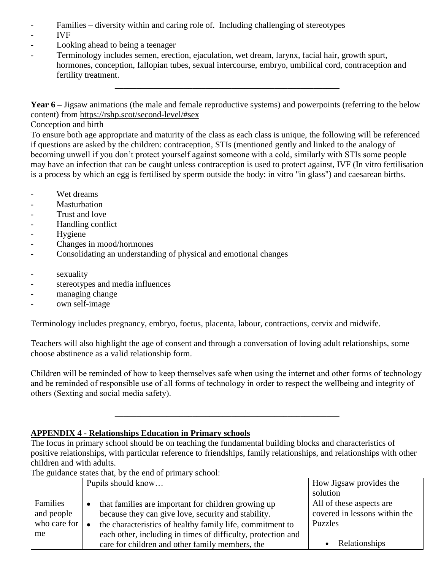- Families diversity within and caring role of. Including challenging of stereotypes
- IVF
- Looking ahead to being a teenager
- Terminology includes semen, erection, ejaculation, wet dream, larynx, facial hair, growth spurt, hormones, conception, fallopian tubes, sexual intercourse, embryo, umbilical cord, contraception and fertility treatment.

**Year 6** – Jigsaw animations (the male and female reproductive systems) and powerpoints (referring to the below content) from <https://rshp.scot/second-level/#sex>

\_\_\_\_\_\_\_\_\_\_\_\_\_\_\_\_\_\_\_\_\_\_\_\_\_\_\_\_\_\_\_\_\_\_\_\_\_\_\_\_\_\_\_\_\_\_\_\_\_\_\_\_

Conception and birth

To ensure both age appropriate and maturity of the class as each class is unique, the following will be referenced if questions are asked by the children: contraception, STIs (mentioned gently and linked to the analogy of becoming unwell if you don't protect yourself against someone with a cold, similarly with STIs some people may have an infection that can be caught unless contraception is used to protect against, IVF (In vitro fertilisation is a process by which an egg is fertilised by sperm outside the body: in vitro "in glass") and caesarean births.

- Wet dreams
- Masturbation
- Trust and love
- Handling conflict
- Hygiene
- Changes in mood/hormones
- Consolidating an understanding of physical and emotional changes
- sexuality
- stereotypes and media influences
- managing change
- own self-image

Terminology includes pregnancy, embryo, foetus, placenta, labour, contractions, cervix and midwife.

Teachers will also highlight the age of consent and through a conversation of loving adult relationships, some choose abstinence as a valid relationship form.

Children will be reminded of how to keep themselves safe when using the internet and other forms of technology and be reminded of responsible use of all forms of technology in order to respect the wellbeing and integrity of others (Sexting and social media safety).

\_\_\_\_\_\_\_\_\_\_\_\_\_\_\_\_\_\_\_\_\_\_\_\_\_\_\_\_\_\_\_\_\_\_\_\_\_\_\_\_\_\_\_\_\_\_\_\_\_\_\_\_

# **APPENDIX 4 - Relationships Education in Primary schools**

The focus in primary school should be on teaching the fundamental building blocks and characteristics of positive relationships, with particular reference to friendships, family relationships, and relationships with other children and with adults.

The guidance states that, by the end of primary school:

|                      | Pupils should know                                           | How Jigsaw provides the       |
|----------------------|--------------------------------------------------------------|-------------------------------|
|                      |                                                              | solution                      |
| Families             | that families are important for children growing up          | All of these aspects are      |
| and people           | because they can give love, security and stability.          | covered in lessons within the |
| who care for $\vert$ | the characteristics of healthy family life, commitment to    | Puzzles                       |
| me                   | each other, including in times of difficulty, protection and |                               |
|                      | care for children and other family members, the              | Relationships                 |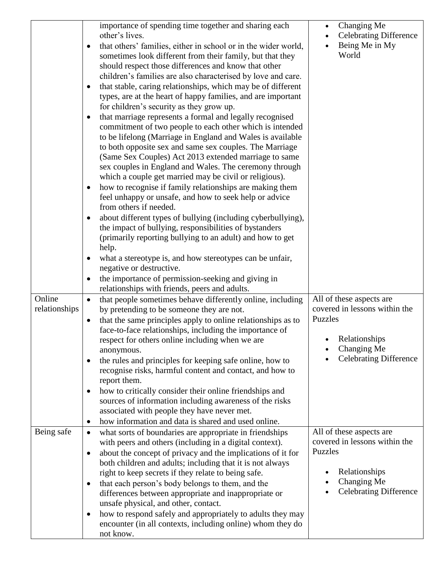|                         | importance of spending time together and sharing each<br>other's lives.<br>that others' families, either in school or in the wider world,<br>sometimes look different from their family, but that they<br>should respect those differences and know that other<br>children's families are also characterised by love and care.<br>that stable, caring relationships, which may be of different<br>$\bullet$<br>types, are at the heart of happy families, and are important<br>for children's security as they grow up.<br>that marriage represents a formal and legally recognised<br>$\bullet$<br>commitment of two people to each other which is intended<br>to be lifelong (Marriage in England and Wales is available<br>to both opposite sex and same sex couples. The Marriage<br>(Same Sex Couples) Act 2013 extended marriage to same<br>sex couples in England and Wales. The ceremony through<br>which a couple get married may be civil or religious).<br>how to recognise if family relationships are making them<br>$\bullet$<br>feel unhappy or unsafe, and how to seek help or advice<br>from others if needed.<br>about different types of bullying (including cyberbullying),<br>$\bullet$<br>the impact of bullying, responsibilities of bystanders<br>(primarily reporting bullying to an adult) and how to get<br>help.<br>what a stereotype is, and how stereotypes can be unfair,<br>negative or destructive.<br>the importance of permission-seeking and giving in | Changing Me<br><b>Celebrating Difference</b><br>Being Me in My<br>World                                                               |
|-------------------------|--------------------------------------------------------------------------------------------------------------------------------------------------------------------------------------------------------------------------------------------------------------------------------------------------------------------------------------------------------------------------------------------------------------------------------------------------------------------------------------------------------------------------------------------------------------------------------------------------------------------------------------------------------------------------------------------------------------------------------------------------------------------------------------------------------------------------------------------------------------------------------------------------------------------------------------------------------------------------------------------------------------------------------------------------------------------------------------------------------------------------------------------------------------------------------------------------------------------------------------------------------------------------------------------------------------------------------------------------------------------------------------------------------------------------------------------------------------------------------------------|---------------------------------------------------------------------------------------------------------------------------------------|
|                         | relationships with friends, peers and adults.                                                                                                                                                                                                                                                                                                                                                                                                                                                                                                                                                                                                                                                                                                                                                                                                                                                                                                                                                                                                                                                                                                                                                                                                                                                                                                                                                                                                                                              |                                                                                                                                       |
|                         |                                                                                                                                                                                                                                                                                                                                                                                                                                                                                                                                                                                                                                                                                                                                                                                                                                                                                                                                                                                                                                                                                                                                                                                                                                                                                                                                                                                                                                                                                            |                                                                                                                                       |
| Online<br>relationships | that people sometimes behave differently online, including<br>$\bullet$<br>by pretending to be someone they are not.<br>that the same principles apply to online relationships as to<br>$\bullet$<br>face-to-face relationships, including the importance of<br>respect for others online including when we are<br>anonymous.<br>the rules and principles for keeping safe online, how to<br>$\bullet$<br>recognise risks, harmful content and contact, and how to<br>report them.<br>how to critically consider their online friendships and<br>$\bullet$<br>sources of information including awareness of the risks<br>associated with people they have never met.<br>how information and data is shared and used online.<br>$\bullet$                                                                                                                                                                                                                                                                                                                                                                                                                                                                                                                                                                                                                                                                                                                                                   | All of these aspects are<br>covered in lessons within the<br>Puzzles<br>Relationships<br>Changing Me<br><b>Celebrating Difference</b> |
| Being safe              | what sorts of boundaries are appropriate in friendships<br>$\bullet$                                                                                                                                                                                                                                                                                                                                                                                                                                                                                                                                                                                                                                                                                                                                                                                                                                                                                                                                                                                                                                                                                                                                                                                                                                                                                                                                                                                                                       | All of these aspects are                                                                                                              |
|                         | with peers and others (including in a digital context).<br>about the concept of privacy and the implications of it for<br>$\bullet$<br>both children and adults; including that it is not always<br>right to keep secrets if they relate to being safe.<br>that each person's body belongs to them, and the<br>$\bullet$<br>differences between appropriate and inappropriate or<br>unsafe physical, and other, contact.<br>how to respond safely and appropriately to adults they may<br>$\bullet$<br>encounter (in all contexts, including online) whom they do<br>not know.                                                                                                                                                                                                                                                                                                                                                                                                                                                                                                                                                                                                                                                                                                                                                                                                                                                                                                             | covered in lessons within the<br>Puzzles<br>Relationships<br>Changing Me<br><b>Celebrating Difference</b>                             |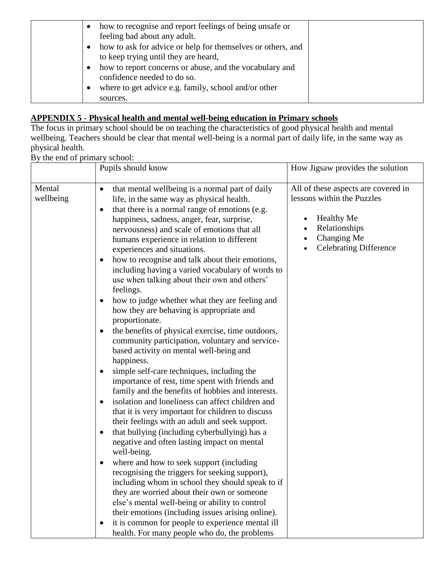| how to recognise and report feelings of being unsafe or<br>feeling bad about any adult.         |  |
|-------------------------------------------------------------------------------------------------|--|
| how to ask for advice or help for themselves or others, and                                     |  |
| to keep trying until they are heard,<br>how to report concerns or abuse, and the vocabulary and |  |
| confidence needed to do so.<br>where to get advice e.g. family, school and/or other             |  |
| sources.                                                                                        |  |

### **APPENDIX 5 - Physical health and mental well-being education in Primary schools**

The focus in primary school should be on teaching the characteristics of good physical health and mental wellbeing. Teachers should be clear that mental well-being is a normal part of daily life, in the same way as physical health.

By the end of primary school:

|                     | Pupils should know                                                                                                                                                                                                                                                                                                                                                                                                                                                                                                                                                                                                                                                                                                                                                                                                                                                                                                                                                                                                                                                                                                                                                                                                                                                                                                                                                                                                                                                                                                                                                                                                                                                                                                                                          | How Jigsaw provides the solution                                                                                                                        |
|---------------------|-------------------------------------------------------------------------------------------------------------------------------------------------------------------------------------------------------------------------------------------------------------------------------------------------------------------------------------------------------------------------------------------------------------------------------------------------------------------------------------------------------------------------------------------------------------------------------------------------------------------------------------------------------------------------------------------------------------------------------------------------------------------------------------------------------------------------------------------------------------------------------------------------------------------------------------------------------------------------------------------------------------------------------------------------------------------------------------------------------------------------------------------------------------------------------------------------------------------------------------------------------------------------------------------------------------------------------------------------------------------------------------------------------------------------------------------------------------------------------------------------------------------------------------------------------------------------------------------------------------------------------------------------------------------------------------------------------------------------------------------------------------|---------------------------------------------------------------------------------------------------------------------------------------------------------|
| Mental<br>wellbeing | that mental wellbeing is a normal part of daily<br>$\bullet$<br>life, in the same way as physical health.<br>that there is a normal range of emotions (e.g.<br>$\bullet$<br>happiness, sadness, anger, fear, surprise,<br>nervousness) and scale of emotions that all<br>humans experience in relation to different<br>experiences and situations.<br>how to recognise and talk about their emotions,<br>$\bullet$<br>including having a varied vocabulary of words to<br>use when talking about their own and others'<br>feelings.<br>how to judge whether what they are feeling and<br>$\bullet$<br>how they are behaving is appropriate and<br>proportionate.<br>the benefits of physical exercise, time outdoors,<br>$\bullet$<br>community participation, voluntary and service-<br>based activity on mental well-being and<br>happiness.<br>simple self-care techniques, including the<br>$\bullet$<br>importance of rest, time spent with friends and<br>family and the benefits of hobbies and interests.<br>isolation and loneliness can affect children and<br>$\bullet$<br>that it is very important for children to discuss<br>their feelings with an adult and seek support.<br>that bullying (including cyberbullying) has a<br>$\bullet$<br>negative and often lasting impact on mental<br>well-being.<br>where and how to seek support (including<br>$\bullet$<br>recognising the triggers for seeking support),<br>including whom in school they should speak to if<br>they are worried about their own or someone<br>else's mental well-being or ability to control<br>their emotions (including issues arising online).<br>it is common for people to experience mental ill<br>$\bullet$<br>health. For many people who do, the problems | All of these aspects are covered in<br>lessons within the Puzzles<br><b>Healthy Me</b><br>Relationships<br>Changing Me<br><b>Celebrating Difference</b> |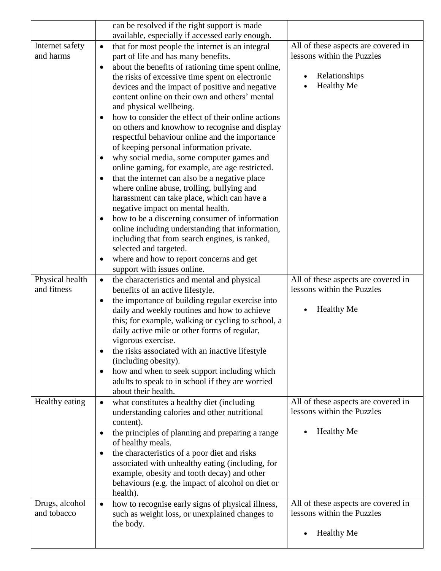|                                | can be resolved if the right support is made                                                                  |                                                                   |
|--------------------------------|---------------------------------------------------------------------------------------------------------------|-------------------------------------------------------------------|
|                                | available, especially if accessed early enough.                                                               |                                                                   |
| Internet safety                | that for most people the internet is an integral<br>$\bullet$                                                 | All of these aspects are covered in                               |
| and harms                      | part of life and has many benefits.                                                                           | lessons within the Puzzles                                        |
|                                | about the benefits of rationing time spent online,<br>$\bullet$                                               |                                                                   |
|                                | the risks of excessive time spent on electronic                                                               | Relationships                                                     |
|                                | devices and the impact of positive and negative                                                               | <b>Healthy Me</b>                                                 |
|                                | content online on their own and others' mental                                                                |                                                                   |
|                                | and physical wellbeing.                                                                                       |                                                                   |
|                                | how to consider the effect of their online actions<br>$\bullet$                                               |                                                                   |
|                                | on others and knowhow to recognise and display                                                                |                                                                   |
|                                | respectful behaviour online and the importance<br>of keeping personal information private.                    |                                                                   |
|                                | why social media, some computer games and<br>$\bullet$                                                        |                                                                   |
|                                | online gaming, for example, are age restricted.                                                               |                                                                   |
|                                | that the internet can also be a negative place<br>$\bullet$                                                   |                                                                   |
|                                | where online abuse, trolling, bullying and                                                                    |                                                                   |
|                                | harassment can take place, which can have a                                                                   |                                                                   |
|                                | negative impact on mental health.                                                                             |                                                                   |
|                                | how to be a discerning consumer of information<br>$\bullet$                                                   |                                                                   |
|                                | online including understanding that information,                                                              |                                                                   |
|                                | including that from search engines, is ranked,                                                                |                                                                   |
|                                | selected and targeted.                                                                                        |                                                                   |
|                                | where and how to report concerns and get<br>$\bullet$                                                         |                                                                   |
|                                | support with issues online.                                                                                   |                                                                   |
| Physical health<br>and fitness | the characteristics and mental and physical<br>$\bullet$                                                      | All of these aspects are covered in<br>lessons within the Puzzles |
|                                | benefits of an active lifestyle.                                                                              |                                                                   |
|                                | the importance of building regular exercise into<br>$\bullet$<br>daily and weekly routines and how to achieve | <b>Healthy Me</b>                                                 |
|                                | this; for example, walking or cycling to school, a                                                            |                                                                   |
|                                | daily active mile or other forms of regular,                                                                  |                                                                   |
|                                | vigorous exercise.                                                                                            |                                                                   |
|                                | the risks associated with an inactive lifestyle<br>$\bullet$                                                  |                                                                   |
|                                | (including obesity).                                                                                          |                                                                   |
|                                | how and when to seek support including which<br>$\bullet$                                                     |                                                                   |
|                                | adults to speak to in school if they are worried                                                              |                                                                   |
|                                | about their health.                                                                                           |                                                                   |
| Healthy eating                 | what constitutes a healthy diet (including<br>$\bullet$                                                       | All of these aspects are covered in                               |
|                                | understanding calories and other nutritional<br>content).                                                     | lessons within the Puzzles                                        |
|                                | the principles of planning and preparing a range<br>٠                                                         | <b>Healthy Me</b>                                                 |
|                                | of healthy meals.                                                                                             |                                                                   |
|                                | the characteristics of a poor diet and risks<br>$\bullet$                                                     |                                                                   |
|                                | associated with unhealthy eating (including, for                                                              |                                                                   |
|                                | example, obesity and tooth decay) and other                                                                   |                                                                   |
|                                | behaviours (e.g. the impact of alcohol on diet or                                                             |                                                                   |
|                                | health).                                                                                                      |                                                                   |
| Drugs, alcohol                 | how to recognise early signs of physical illness,<br>$\bullet$                                                | All of these aspects are covered in                               |
| and tobacco                    | such as weight loss, or unexplained changes to                                                                | lessons within the Puzzles                                        |
|                                | the body.                                                                                                     | <b>Healthy Me</b>                                                 |
|                                |                                                                                                               |                                                                   |